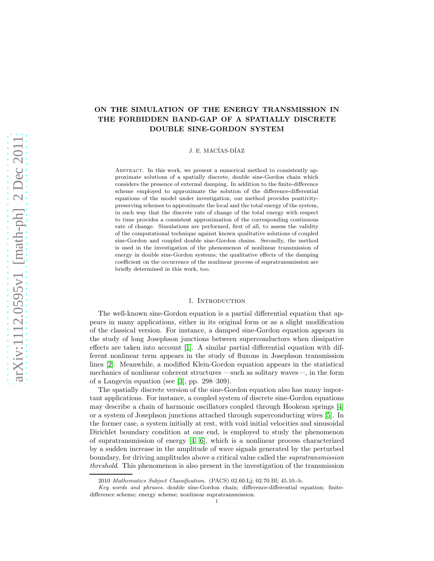# ON THE SIMULATION OF THE ENERGY TRANSMISSION IN THE FORBIDDEN BAND-GAP OF A SPATIALLY DISCRETE DOUBLE SINE-GORDON SYSTEM

J. E. MACÍAS-DÍAZ

Abstract. In this work, we present a numerical method to consistently approximate solutions of a spatially discrete, double sine-Gordon chain which considers the presence of external damping. In addition to the finite-difference scheme employed to approximate the solution of the difference-differential equations of the model under investigation, our method provides positivitypreserving schemes to approximate the local and the total energy of the system, in such way that the discrete rate of change of the total energy with respect to time provides a consistent approximation of the corresponding continuous rate of change. Simulations are performed, first of all, to assess the validity of the computational technique against known qualitative solutions of coupled sine-Gordon and coupled double sine-Gordon chains. Secondly, the method is used in the investigation of the phenomenon of nonlinear transmission of energy in double sine-Gordon systems; the qualitative effects of the damping coefficient on the occurrence of the nonlinear process of supratransmission are briefly determined in this work, too.

## 1. INTRODUCTION

The well-known sine-Gordon equation is a partial differential equation that appears in many applications, either in its original form or as a slight modification of the classical version. For instance, a damped sine-Gordon equation appears in the study of long Josephson junctions between superconductors when dissipative effects are taken into account [\[1\]](#page-14-0). A similar partial differential equation with different nonlinear term appears in the study of fluxons in Josephson transmission lines [\[2\]](#page-14-1). Meanwhile, a modified Klein-Gordon equation appears in the statistical mechanics of nonlinear coherent structures —such as solitary waves—, in the form of a Langevin equation (see [\[3\]](#page-14-2), pp. 298–309).

The spatially discrete version of the sine-Gordon equation also has many important applications. For instance, a coupled system of discrete sine-Gordon equations may describe a chain of harmonic oscillators coupled through Hookean springs [\[4\]](#page-14-3) or a system of Josephson junctions attached through superconducting wires [\[5\]](#page-14-4). In the former case, a system initially at rest, with void initial velocities and sinusoidal Dirichlet boundary condition at one end, is employed to study the phenomenon of supratransmission of energy  $[4, 6]$  $[4, 6]$ , which is a nonlinear process characterized by a sudden increase in the amplitude of wave signals generated by the perturbed boundary, for driving amplitudes above a critical value called the supratransmission threshold. This phenomenon is also present in the investigation of the transmission

<sup>2010</sup> Mathematics Subject Classification. (PACS) 02.60.Lj; 02.70.Bf; 45.10.-b.

Key words and phrases. double sine-Gordon chain; difference-differential equation; finitedifference scheme; energy scheme; nonlinear supratransmission.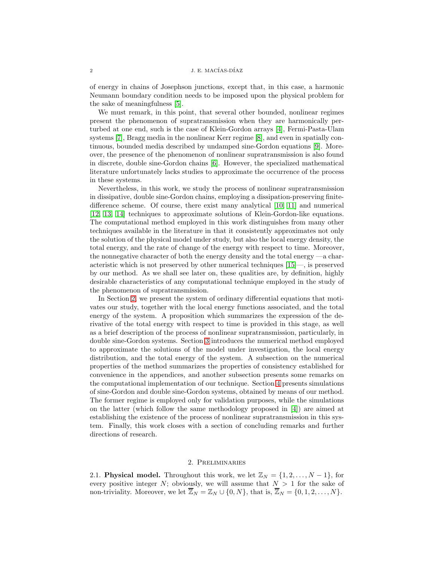of energy in chains of Josephson junctions, except that, in this case, a harmonic Neumann boundary condition needs to be imposed upon the physical problem for the sake of meaningfulness [\[5\]](#page-14-4).

We must remark, in this point, that several other bounded, nonlinear regimes present the phenomenon of supratransmission when they are harmonically perturbed at one end, such is the case of Klein-Gordon arrays [\[4\]](#page-14-3), Fermi-Pasta-Ulam systems [\[7\]](#page-14-6), Bragg media in the nonlinear Kerr regime [\[8\]](#page-14-7), and even in spatially continuous, bounded media described by undamped sine-Gordon equations [\[9\]](#page-14-8). Moreover, the presence of the phenomenon of nonlinear supratransmission is also found in discrete, double sine-Gordon chains [\[6\]](#page-14-5). However, the specialized mathematical literature unfortunately lacks studies to approximate the occurrence of the process in these systems.

Nevertheless, in this work, we study the process of nonlinear supratransmission in dissipative, double sine-Gordon chains, employing a dissipation-preserving finitedifference scheme. Of course, there exist many analytical [\[10,](#page-14-9) [11\]](#page-14-10) and numerical [\[12,](#page-14-11) [13,](#page-14-12) [14\]](#page-15-0) techniques to approximate solutions of Klein-Gordon-like equations. The computational method employed in this work distinguishes from many other techniques available in the literature in that it consistently approximates not only the solution of the physical model under study, but also the local energy density, the total energy, and the rate of change of the energy with respect to time. Moreover, the nonnegative character of both the energy density and the total energy —a characteristic which is not preserved by other numerical techniques [\[15\]](#page-15-1)—, is preserved by our method. As we shall see later on, these qualities are, by definition, highly desirable characteristics of any computational technique employed in the study of the phenomenon of supratransmission.

In Section [2,](#page-1-0) we present the system of ordinary differential equations that motivates our study, together with the local energy functions associated, and the total energy of the system. A proposition which summarizes the expression of the derivative of the total energy with respect to time is provided in this stage, as well as a brief description of the process of nonlinear supratransmission, particularly, in double sine-Gordon systems. Section [3](#page-5-0) introduces the numerical method employed to approximate the solutions of the model under investigation, the local energy distribution, and the total energy of the system. A subsection on the numerical properties of the method summarizes the properties of consistency established for convenience in the appendices, and another subsection presents some remarks on the computational implementation of our technique. Section [4](#page-9-0) presents simulations of sine-Gordon and double sine-Gordon systems, obtained by means of our method. The former regime is employed only for validation purposes, while the simulations on the latter (which follow the same methodology proposed in [\[4\]](#page-14-3)) are aimed at establishing the existence of the process of nonlinear supratransmission in this system. Finally, this work closes with a section of concluding remarks and further directions of research.

## 2. Preliminaries

<span id="page-1-0"></span>2.1. Physical model. Throughout this work, we let  $\mathbb{Z}_N = \{1, 2, ..., N-1\}$ , for every positive integer N; obviously, we will assume that  $N > 1$  for the sake of non-triviality. Moreover, we let  $\overline{Z}_N = Z_N \cup \{0, N\}$ , that is,  $\overline{Z}_N = \{0, 1, 2, \ldots, N\}$ .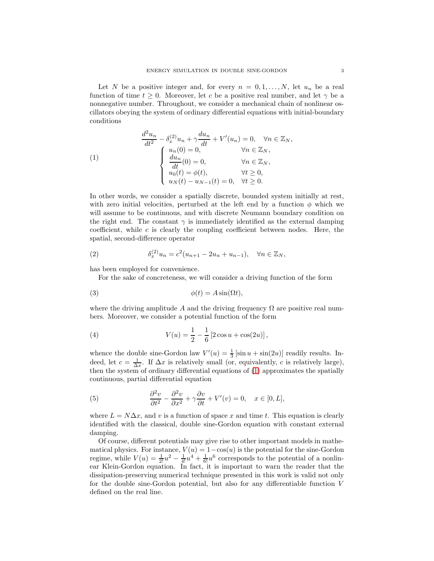Let N be a positive integer and, for every  $n = 0, 1, \ldots, N$ , let  $u_n$  be a real function of time  $t \geq 0$ . Moreover, let c be a positive real number, and let  $\gamma$  be a nonnegative number. Throughout, we consider a mechanical chain of nonlinear oscillators obeying the system of ordinary differential equations with initial-boundary conditions

<span id="page-2-0"></span>(1)  
\n
$$
\frac{d^2u_n}{dt^2} - \delta_x^{(2)}u_n + \gamma \frac{du_n}{dt} + V'(u_n) = 0, \quad \forall n \in \mathbb{Z}_N,
$$
\n
$$
\begin{cases}\nu_n(0) = 0, & \forall n \in \mathbb{Z}_N, \\
\frac{du_n}{dt}(0) = 0, & \forall n \in \mathbb{Z}_N, \\
u_0(t) = \phi(t), & \forall t \ge 0, \\
u_N(t) - u_{N-1}(t) = 0, & \forall t \ge 0.\n\end{cases}
$$

In other words, we consider a spatially discrete, bounded system initially at rest, with zero initial velocities, perturbed at the left end by a function  $\phi$  which we will assume to be continuous, and with discrete Neumann boundary condition on the right end. The constant  $\gamma$  is immediately identified as the external damping coefficient, while  $c$  is clearly the coupling coefficient between nodes. Here, the spatial, second-difference operator

(2) 
$$
\delta_x^{(2)} u_n = c^2 (u_{n+1} - 2u_n + u_{n-1}), \quad \forall n \in \mathbb{Z}_N,
$$

has been employed for convenience.

<span id="page-2-1"></span>For the sake of concreteness, we will consider a driving function of the form

$$
\phi(t) = A \sin(\Omega t),
$$

where the driving amplitude A and the driving frequency  $\Omega$  are positive real numbers. Moreover, we consider a potential function of the form

<span id="page-2-2"></span>(4) 
$$
V(u) = \frac{1}{2} - \frac{1}{6} [2 \cos u + \cos(2u)],
$$

whence the double sine-Gordon law  $V'(u) = \frac{1}{3} [\sin u + \sin(2u)]$  readily results. Indeed, let  $c = \frac{1}{\Delta x}$ . If  $\Delta x$  is relatively small (or, equivalently, c is relatively large), then the system of ordinary differential equations of [\(1\)](#page-2-0) approximates the spatially continuous, partial differential equation

(5) 
$$
\frac{\partial^2 v}{\partial t^2} - \frac{\partial^2 v}{\partial x^2} + \gamma \frac{\partial v}{\partial t} + V'(v) = 0, \quad x \in [0, L],
$$

where  $L = N\Delta x$ , and v is a function of space x and time t. This equation is clearly identified with the classical, double sine-Gordon equation with constant external damping.

Of course, different potentials may give rise to other important models in mathematical physics. For instance,  $V(u) = 1 - \cos(u)$  is the potential for the sine-Gordon regime, while  $V(u) = \frac{1}{2!}u^2 - \frac{1}{4!}u^4 + \frac{1}{6!}u^6$  corresponds to the potential of a nonlinear Klein-Gordon equation. In fact, it is important to warn the reader that the dissipation-preserving numerical technique presented in this work is valid not only for the double sine-Gordon potential, but also for any differentiable function V defined on the real line.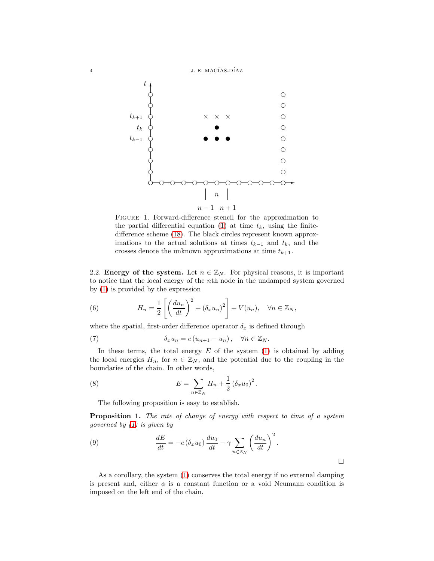

<span id="page-3-0"></span>Figure 1. Forward-difference stencil for the approximation to the partial differential equation [\(1\)](#page-2-0) at time  $t_k$ , using the finitedifference scheme [\(18\)](#page-6-0). The black circles represent known approximations to the actual solutions at times  $t_{k-1}$  and  $t_k$ , and the crosses denote the unknown approximations at time  $t_{k+1}$ .

2.2. Energy of the system. Let  $n \in \mathbb{Z}_N$ . For physical reasons, it is important to notice that the local energy of the nth node in the undamped system governed by [\(1\)](#page-2-0) is provided by the expression

<span id="page-3-1"></span>(6) 
$$
H_n = \frac{1}{2} \left[ \left( \frac{du_n}{dt} \right)^2 + \left( \delta_x u_n \right)^2 \right] + V(u_n), \quad \forall n \in \mathbb{Z}_N,
$$

where the spatial, first-order difference operator  $\delta_x$  is defined through

(7) 
$$
\delta_x u_n = c (u_{n+1} - u_n), \quad \forall n \in \mathbb{Z}_N.
$$

In these terms, the total energy  $E$  of the system [\(1\)](#page-2-0) is obtained by adding the local energies  $H_n$ , for  $n \in \mathbb{Z}_N$ , and the potential due to the coupling in the boundaries of the chain. In other words,

(8) 
$$
E = \sum_{n \in \mathbb{Z}_N} H_n + \frac{1}{2} (\delta_x u_0)^2.
$$

<span id="page-3-2"></span>The following proposition is easy to establish.

**Proposition 1.** The rate of change of energy with respect to time of a system governed by  $(1)$  is given by

(9) 
$$
\frac{dE}{dt} = -c \left( \delta_x u_0 \right) \frac{du_0}{dt} - \gamma \sum_{n \in \mathbb{Z}_N} \left( \frac{du_n}{dt} \right)^2.
$$

As a corollary, the system [\(1\)](#page-2-0) conserves the total energy if no external damping is present and, either  $\phi$  is a constant function or a void Neumann condition is imposed on the left end of the chain.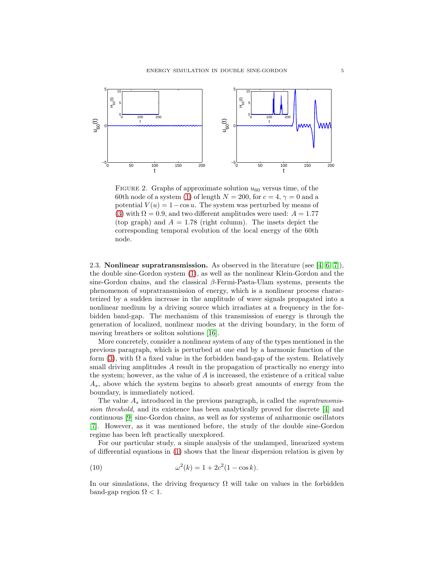

<span id="page-4-0"></span>FIGURE 2. Graphs of approximate solution  $u_{60}$  versus time, of the 60th node of a system [\(1\)](#page-2-0) of length  $N = 200$ , for  $c = 4$ ,  $\gamma = 0$  and a potential  $V(u) = 1 - \cos u$ . The system was perturbed by means of [\(3\)](#page-2-1) with  $\Omega = 0.9$ , and two different amplitudes were used:  $A = 1.77$ (top graph) and  $A = 1.78$  (right column). The insets depict the corresponding temporal evolution of the local energy of the 60th node.

2.3. **Nonlinear supratransmission.** As observed in the literature (see [\[4,](#page-14-3) [6,](#page-14-5) [7\]](#page-14-6)), the double sine-Gordon system [\(1\)](#page-2-0), as well as the nonlinear Klein-Gordon and the sine-Gordon chains, and the classical  $\beta$ -Fermi-Pasta-Ulam systems, presents the phenomenon of supratransmission of energy, which is a nonlinear process characterized by a sudden increase in the amplitude of wave signals propagated into a nonlinear medium by a driving source which irradiates at a frequency in the forbidden band-gap. The mechanism of this transmission of energy is through the generation of localized, nonlinear modes at the driving boundary, in the form of moving breathers or soliton solutions [\[16\]](#page-15-2).

More concretely, consider a nonlinear system of any of the types mentioned in the previous paragraph, which is perturbed at one end by a harmonic function of the form [\(3\)](#page-2-1), with  $\Omega$  a fixed value in the forbidden band-gap of the system. Relatively small driving amplitudes A result in the propagation of practically no energy into the system; however, as the value of A is increased, the existence of a critical value  $A<sub>s</sub>$ , above which the system begins to absorb great amounts of energy from the boundary, is immediately noticed.

The value  $A_s$  introduced in the previous paragraph, is called the *supratransmis*sion threshold, and its existence has been analytically proved for discrete [\[4\]](#page-14-3) and continuous [\[9\]](#page-14-8) sine-Gordon chains, as well as for systems of anharmonic oscillators [\[7\]](#page-14-6). However, as it was mentioned before, the study of the double sine-Gordon regime has been left practically unexplored.

For our particular study, a simple analysis of the undamped, linearized system of differential equations in [\(1\)](#page-2-0) shows that the linear dispersion relation is given by

(10) 
$$
\omega^2(k) = 1 + 2c^2(1 - \cos k).
$$

In our simulations, the driving frequency  $\Omega$  will take on values in the forbidden band-gap region  $\Omega$  < 1.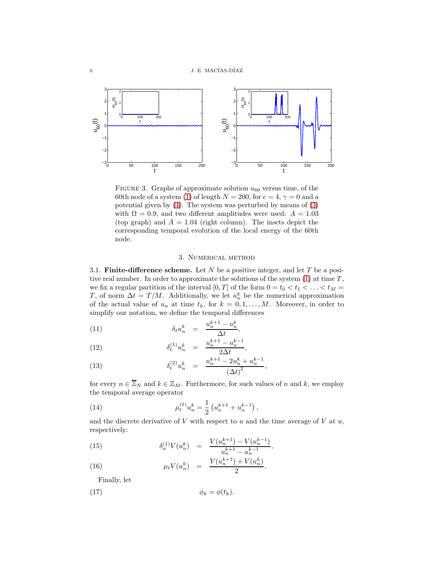

<span id="page-5-2"></span>FIGURE 3. Graphs of approximate solution  $u_{60}$  versus time, of the 60th node of a system [\(1\)](#page-2-0) of length  $N = 200$ , for  $c = 4$ ,  $\gamma = 0$  and a potential given by [\(4\)](#page-2-2). The system was perturbed by means of [\(3\)](#page-2-1) with  $\Omega = 0.9$ , and two different amplitudes were used:  $A = 1.03$ (top graph) and  $A = 1.04$  (right column). The insets depict the corresponding temporal evolution of the local energy of the 60th node.

# 3. Numerical method

<span id="page-5-1"></span><span id="page-5-0"></span>3.1. Finite-difference scheme. Let N be a positive integer, and let T be a positive real number. In order to approximate the solutions of the system  $(1)$  at time  $T$ , we fix a regular partition of the interval  $[0, T]$  of the form  $0 = t_0 < t_1 < \ldots < t_M$ T, of norm  $\Delta t = T/M$ . Additionally, we let  $u_n^k$  be the numerical approximation of the actual value of  $u_n$  at time  $t_k$ , for  $k = 0, 1, \ldots, M$ . Moreover, in order to simplify our notation, we define the temporal differences

(11) 
$$
\delta_t u_n^k = \frac{u_n^{k+1} - u_n^k}{\Delta t},
$$

(12) 
$$
\delta_t^{(1)} u_n^k = \frac{u_n^{k+1} - u_n^{k-1}}{2\Delta t},
$$

(13) 
$$
\delta_t^{(2)} u_n^k = \frac{u_n^{k+1} - 2u_n^k + u_n^{k-1}}{(\Delta t)^2},
$$

for every  $n \in \overline{\mathbb{Z}}_N$  and  $k \in \mathbb{Z}_M$ . Furthermore, for such values of n and k, we employ the temporal average operator

(14) 
$$
\mu_t^{(1)} u_n^k = \frac{1}{2} \left( u_n^{k+1} + u_n^{k-1} \right),
$$

and the discrete derivative of  $V$  with respect to  $u$  and the time average of  $V$  at  $u$ , respectively:

(15) 
$$
\delta_u^{(1)} V(u_n^k) = \frac{V(u_n^{k+1}) - V(u_n^{k-1})}{u_n^{k+1} - u_n^{k-1}},
$$

(16) 
$$
\mu_t V(u_n^k) = \frac{V(u_n^{k+1}) + V(u_n^k)}{2}.
$$

Finally, let

$$
\phi_k = \phi(t_k).
$$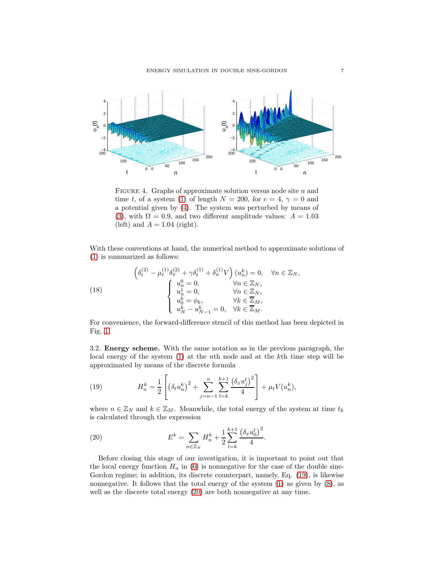

<span id="page-6-3"></span>FIGURE 4. Graphs of approximate solution versus node site  $n$  and time t, of a system [\(1\)](#page-2-0) of length  $N = 200$ , for  $c = 4$ ,  $\gamma = 0$  and a potential given by [\(4\)](#page-2-2). The system was perturbed by means of [\(3\)](#page-2-1), with  $\Omega = 0.9$ , and two different amplitude values:  $A = 1.03$ (left) and  $A = 1.04$  (right).

With these conventions at hand, the numerical method to approximate solutions of [\(1\)](#page-2-0) is summarized as follows:

<span id="page-6-0"></span>(18) 
$$
\begin{cases} \delta_t^{(2)} - \mu_t^{(1)} \delta_x^{(2)} + \gamma \delta_t^{(1)} + \delta_u^{(1)} V \end{cases} \begin{cases} u_n^0 = 0, & \forall n \in \mathbb{Z}_N, \\ u_n^1 = 0, & \forall n \in \mathbb{Z}_N, \\ u_n^1 = 0, & \forall n \in \mathbb{Z}_N, \\ u_0^k = \phi_k, & \forall k \in \mathbb{Z}_M, \\ u_N^k - u_{N-1}^k = 0, & \forall k \in \mathbb{Z}_M. \end{cases}
$$

For convenience, the forward-difference stencil of this method has been depicted in Fig. [1.](#page-3-0)

3.2. Energy scheme. With the same notation as in the previous paragraph, the local energy of the system [\(1\)](#page-2-0) at the nth node and at the kth time step will be approximated by means of the discrete formula

<span id="page-6-1"></span>(19) 
$$
H_n^k = \frac{1}{2} \left[ \left( \delta_t u_n^k \right)^2 + \sum_{j=n-1}^n \sum_{l=k}^{k+1} \frac{\left( \delta_x u_j^l \right)^2}{4} \right] + \mu_t V(u_n^k),
$$

where  $n \in \mathbb{Z}_N$  and  $k \in \mathbb{Z}_M$ . Meanwhile, the total energy of the system at time  $t_k$ is calculated through the expression

<span id="page-6-2"></span>(20) 
$$
E^{k} = \sum_{n \in \mathbb{Z}_N} H_n^{k} + \frac{1}{2} \sum_{l=k}^{k+1} \frac{(\delta_x u_0^{l})^2}{4}.
$$

Before closing this stage of our investigation, it is important to point out that the local energy function  $H_n$  in [\(6\)](#page-3-1) is nonnegative for the case of the double sine-Gordon regime; in addition, its discrete counterpart, namely, Eq. [\(19\)](#page-6-1), is likewise nonnegative. It follows that the total energy of the system [\(1\)](#page-2-0) as given by [\(8\)](#page-3-2), as well as the discrete total energy [\(20\)](#page-6-2) are both nonnegative at any time.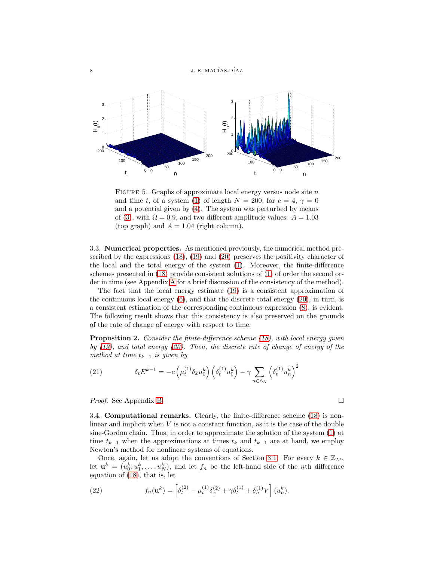

<span id="page-7-0"></span>FIGURE 5. Graphs of approximate local energy versus node site  $n$ and time t, of a system [\(1\)](#page-2-0) of length  $N = 200$ , for  $c = 4$ ,  $\gamma = 0$ and a potential given by [\(4\)](#page-2-2). The system was perturbed by means of [\(3\)](#page-2-1), with  $\Omega = 0.9$ , and two different amplitude values:  $A = 1.03$ (top graph) and  $A = 1.04$  (right column).

3.3. Numerical properties. As mentioned previously, the numerical method prescribed by the expressions [\(18\)](#page-6-0), [\(19\)](#page-6-1) and [\(20\)](#page-6-2) preserves the positivity character of the local and the total energy of the system [\(1\)](#page-2-0). Moreover, the finite-difference schemes presented in [\(18\)](#page-6-0) provide consistent solutions of [\(1\)](#page-2-0) of order the second order in time (see Appendix [A](#page-13-0) for a brief discussion of the consistency of the method).

The fact that the local energy estimate [\(19\)](#page-6-1) is a consistent approximation of the continuous local energy  $(6)$ , and that the discrete total energy  $(20)$ , in turn, is a consistent estimation of the corresponding continuous expression [\(8\)](#page-3-2), is evident. The following result shows that this consistency is also preserved on the grounds of the rate of change of energy with respect to time.

**Proposition 2.** Consider the finite-difference scheme [\(18\)](#page-6-0), with local energy given by [\(19\)](#page-6-1), and total energy [\(20\)](#page-6-2). Then, the discrete rate of change of energy of the method at time  $t_{k-1}$  is given by

<span id="page-7-1"></span>(21) 
$$
\delta_t E^{k-1} = -c \left(\mu_t^{(1)} \delta_x u_0^k\right) \left(\delta_t^{(1)} u_0^k\right) - \gamma \sum_{n \in \mathbb{Z}_N} \left(\delta_t^{(1)} u_n^k\right)^2
$$

Proof. See Appendix [B.](#page-13-1)

3.4. Computational remarks. Clearly, the finite-difference scheme [\(18\)](#page-6-0) is nonlinear and implicit when  $V$  is not a constant function, as it is the case of the double sine-Gordon chain. Thus, in order to approximate the solution of the system [\(1\)](#page-2-0) at time  $t_{k+1}$  when the approximations at times  $t_k$  and  $t_{k-1}$  are at hand, we employ Newton's method for nonlinear systems of equations.

Once, again, let us adopt the conventions of Section [3.1.](#page-5-1) For every  $k \in \mathbb{Z}_M$ , let  $\mathbf{u}^{k} = (u_0^k, u_1^k, \dots, u_N^k)$ , and let  $f_n$  be the left-hand side of the *n*th difference equation of [\(18\)](#page-6-0), that is, let

(22) 
$$
f_n(\mathbf{u}^k) = \left[\delta_t^{(2)} - \mu_t^{(1)}\delta_x^{(2)} + \gamma \delta_t^{(1)} + \delta_u^{(1)}V\right](u_n^k).
$$

$$
\qquad \qquad \Box
$$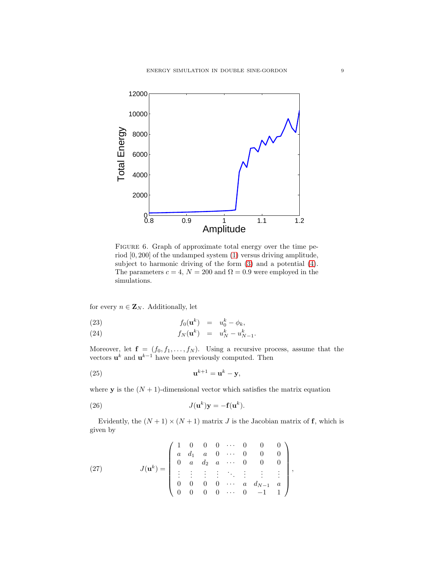

<span id="page-8-2"></span>FIGURE 6. Graph of approximate total energy over the time period [0, 200] of the undamped system [\(1\)](#page-2-0) versus driving amplitude, subject to harmonic driving of the form [\(3\)](#page-2-1) and a potential [\(4\)](#page-2-2). The parameters  $c = 4$ ,  $N = 200$  and  $\Omega = 0.9$  were employed in the simulations.

for every  $n \in \mathbf{Z}_N$ . Additionally, let

(23) 
$$
f_0(\mathbf{u}^k) = u_0^k - \phi_k,
$$

(24) 
$$
f_N(\mathbf{u}^k) = u_N^k - u_{N-1}^k.
$$

Moreover, let  $f = (f_0, f_1, \ldots, f_N)$ . Using a recursive process, assume that the vectors  $\mathbf{u}^{k}$  and  $\mathbf{u}^{k-1}$  have been previously computed. Then

<span id="page-8-1"></span>
$$
\mathbf{u}^{k+1} = \mathbf{u}^k - \mathbf{y},
$$

where **y** is the  $(N + 1)$ -dimensional vector which satisfies the matrix equation

<span id="page-8-0"></span>(26) 
$$
J(\mathbf{u}^k)\mathbf{y} = -\mathbf{f}(\mathbf{u}^k).
$$

Evidently, the  $(N + 1) \times (N + 1)$  matrix J is the Jacobian matrix of f, which is given by

(27) 
$$
J(\mathbf{u}^{k}) = \begin{pmatrix} 1 & 0 & 0 & 0 & \cdots & 0 & 0 & 0 \\ a & d_{1} & a & 0 & \cdots & 0 & 0 & 0 \\ 0 & a & d_{2} & a & \cdots & 0 & 0 & 0 \\ \vdots & \vdots & \vdots & \vdots & \ddots & \vdots & \vdots & \vdots \\ 0 & 0 & 0 & 0 & \cdots & a & d_{N-1} & a \\ 0 & 0 & 0 & 0 & \cdots & 0 & -1 & 1 \end{pmatrix},
$$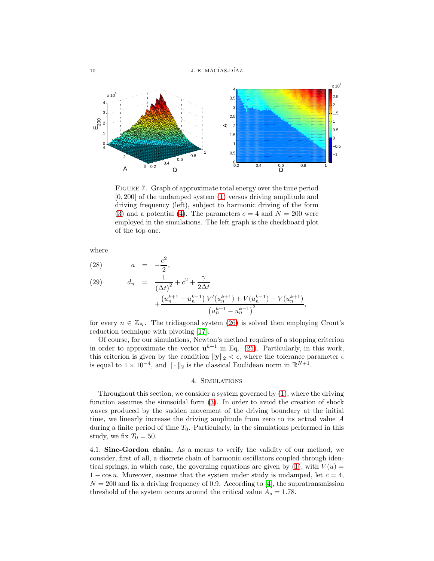10 J. E. MACÍAS-DÍAZ



<span id="page-9-1"></span>FIGURE 7. Graph of approximate total energy over the time period [0, 200] of the undamped system [\(1\)](#page-2-0) versus driving amplitude and driving frequency (left), subject to harmonic driving of the form [\(3\)](#page-2-1) and a potential [\(4\)](#page-2-2). The parameters  $c = 4$  and  $N = 200$  were employed in the simulations. The left graph is the checkboard plot of the top one.

where

(28) 
$$
a = -\frac{c^2}{2},
$$
  
\n(29) 
$$
d_n = \frac{1}{(\Delta t)^2} + c^2 + \frac{\gamma}{2\Delta t} + \frac{(u_n^{k+1} - u_n^{k-1}) V'(u_n^{k+1}) + V(u_n^{k-1}) - V(u_n^{k+1})}{(u_n^{k+1} - u_n^{k-1})^2},
$$

for every  $n \in \mathbb{Z}_N$ . The tridiagonal system [\(26\)](#page-8-0) is solved then employing Crout's reduction technique with pivoting [\[17\]](#page-15-3).

Of course, for our simulations, Newton's method requires of a stopping criterion in order to approximate the vector  $\mathbf{u}^{k+1}$  in Eq. [\(25\)](#page-8-1). Particularly, in this work, this criterion is given by the condition  $||y||_2 < \epsilon$ , where the tolerance parameter  $\epsilon$ is equal to  $1 \times 10^{-4}$ , and  $\|\cdot\|_2$  is the classical Euclidean norm in  $\mathbb{R}^{N+1}$ .

## 4. Simulations

<span id="page-9-0"></span>Throughout this section, we consider a system governed by [\(1\)](#page-2-0), where the driving function assumes the sinusoidal form [\(3\)](#page-2-1). In order to avoid the creation of shock waves produced by the sudden movement of the driving boundary at the initial time, we linearly increase the driving amplitude from zero to its actual value A during a finite period of time  $T_0$ . Particularly, in the simulations performed in this study, we fix  $T_0 = 50$ .

4.1. Sine-Gordon chain. As a means to verify the validity of our method, we consider, first of all, a discrete chain of harmonic oscillators coupled through identical springs, in which case, the governing equations are given by  $(1)$ , with  $V(u)$  =  $1 - \cos u$ . Moreover, assume that the system under study is undamped, let  $c = 4$ ,  $N = 200$  and fix a driving frequency of 0.9. According to [\[4\]](#page-14-3), the supratransmission threshold of the system occurs around the critical value  $A_s = 1.78$ .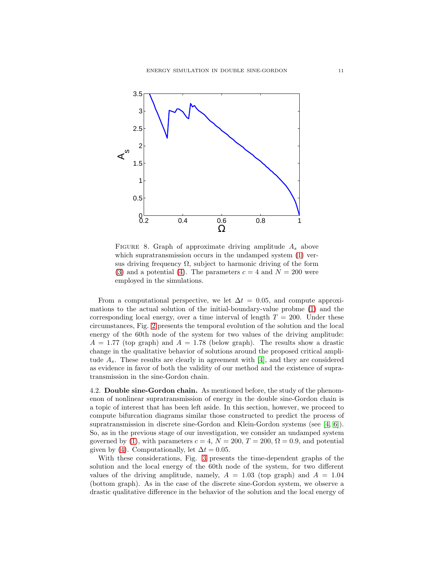

<span id="page-10-0"></span>FIGURE 8. Graph of approximate driving amplitude  $A_s$  above which supratransmission occurs in the undamped system  $(1)$  versus driving frequency  $\Omega$ , subject to harmonic driving of the form [\(3\)](#page-2-1) and a potential [\(4\)](#page-2-2). The parameters  $c = 4$  and  $N = 200$  were employed in the simulations.

From a computational perspective, we let  $\Delta t = 0.05$ , and compute approximations to the actual solution of the initial-boundary-value probme [\(1\)](#page-2-0) and the corresponding local energy, over a time interval of length  $T = 200$ . Under these circumstances, Fig. [2](#page-4-0) presents the temporal evolution of the solution and the local energy of the 60th node of the system for two values of the driving amplitude:  $A = 1.77$  (top graph) and  $A = 1.78$  (below graph). The results show a drastic change in the qualitative behavior of solutions around the proposed critical amplitude  $A_s$ . These results are clearly in agreement with [\[4\]](#page-14-3), and they are considered as evidence in favor of both the validity of our method and the existence of supratransmission in the sine-Gordon chain.

4.2. Double sine-Gordon chain. As mentioned before, the study of the phenomenon of nonlinear supratransmission of energy in the double sine-Gordon chain is a topic of interest that has been left aside. In this section, however, we proceed to compute bifurcation diagrams similar those constructed to predict the process of supratransmission in discrete sine-Gordon and Klein-Gordon systems (see [\[4,](#page-14-3) [6\]](#page-14-5)). So, as in the previous stage of our investigation, we consider an undamped system governed by [\(1\)](#page-2-0), with parameters  $c = 4$ ,  $N = 200$ ,  $T = 200$ ,  $\Omega = 0.9$ , and potential given by [\(4\)](#page-2-2). Computationally, let  $\Delta t = 0.05$ .

With these considerations, Fig. [3](#page-5-2) presents the time-dependent graphs of the solution and the local energy of the 60th node of the system, for two different values of the driving amplitude, namely,  $A = 1.03$  (top graph) and  $A = 1.04$ (bottom graph). As in the case of the discrete sine-Gordon system, we observe a drastic qualitative difference in the behavior of the solution and the local energy of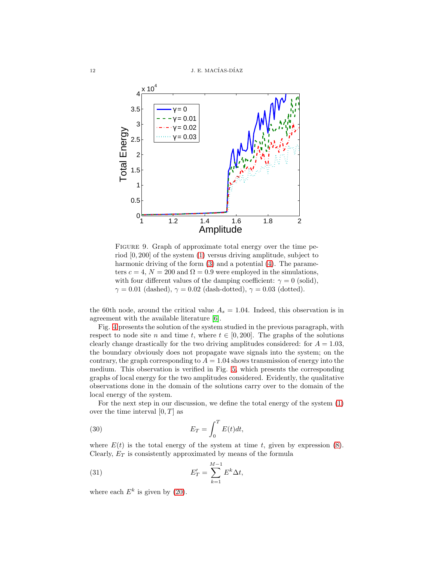

<span id="page-11-0"></span>FIGURE 9. Graph of approximate total energy over the time period [0, 200] of the system [\(1\)](#page-2-0) versus driving amplitude, subject to harmonic driving of the form [\(3\)](#page-2-1) and a potential [\(4\)](#page-2-2). The parameters  $c = 4$ ,  $N = 200$  and  $\Omega = 0.9$  were employed in the simulations, with four different values of the damping coefficient:  $\gamma = 0$  (solid),  $\gamma = 0.01$  (dashed),  $\gamma = 0.02$  (dash-dotted),  $\gamma = 0.03$  (dotted).

the 60th node, around the critical value  $A_s = 1.04$ . Indeed, this observation is in agreement with the available literature [\[6\]](#page-14-5).

Fig. [4](#page-6-3) presents the solution of the system studied in the previous paragraph, with respect to node site n and time t, where  $t \in [0, 200]$ . The graphs of the solutions clearly change drastically for the two driving amplitudes considered: for  $A = 1.03$ , the boundary obviously does not propagate wave signals into the system; on the contrary, the graph corresponding to  $A = 1.04$  shows transmission of energy into the medium. This observation is verified in Fig. [5,](#page-7-0) which presents the corresponding graphs of local energy for the two amplitudes considered. Evidently, the qualitative observations done in the domain of the solutions carry over to the domain of the local energy of the system.

For the next step in our discussion, we define the total energy of the system [\(1\)](#page-2-0) over the time interval  $[0, T]$  as

(30) 
$$
E_T = \int_0^T E(t)dt,
$$

where  $E(t)$  is the total energy of the system at time t, given by expression [\(8\)](#page-3-2). Clearly,  $E_T$  is consistently approximated by means of the formula

(31) 
$$
E'_T = \sum_{k=1}^{M-1} E^k \Delta t,
$$

where each  $E^k$  is given by [\(20\)](#page-6-2).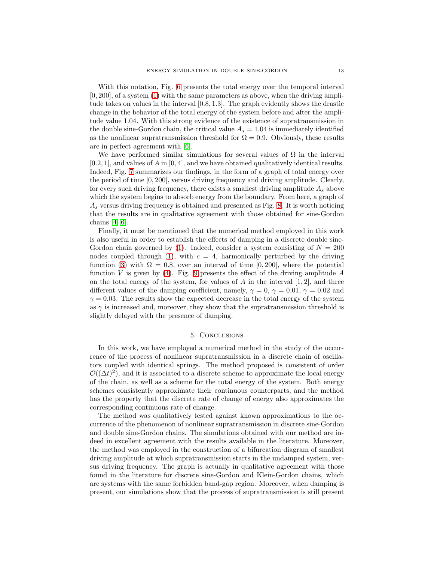With this notation, Fig. [6](#page-8-2) presents the total energy over the temporal interval  $[0, 200]$ , of a system  $(1)$  with the same parameters as above, when the driving amplitude takes on values in the interval [0.8, 1.3]. The graph evidently shows the drastic change in the behavior of the total energy of the system before and after the amplitude value 1.04. With this strong evidence of the existence of supratransmission in the double sine-Gordon chain, the critical value  $A_s = 1.04$  is immediately identified as the nonlinear supratransmission threshold for  $\Omega = 0.9$ . Obviously, these results are in perfect agreement with [\[6\]](#page-14-5).

We have performed similar simulations for several values of  $\Omega$  in the interval  $[0.2, 1]$ , and values of A in  $[0, 4]$ , and we have obtained qualitatively identical results. Indeed, Fig. [7](#page-9-1) summarizes our findings, in the form of a graph of total energy over the period of time [0, 200], versus driving frequency and driving amplitude. Clearly, for every such driving frequency, there exists a smallest driving amplitude  $A_s$  above which the system begins to absorb energy from the boundary. From here, a graph of  $A<sub>s</sub>$  versus driving frequency is obtained and presented as Fig. [8.](#page-10-0) It is worth noticing that the results are in qualitative agreement with those obtained for sine-Gordon chains [\[4,](#page-14-3) [6\]](#page-14-5).

Finally, it must be mentioned that the numerical method employed in this work is also useful in order to establish the effects of damping in a discrete double sine-Gordon chain governed by [\(1\)](#page-2-0). Indeed, consider a system consisting of  $N = 200$ nodes coupled through [\(1\)](#page-2-0), with  $c = 4$ , harmonically perturbed by the driving function [\(3\)](#page-2-1) with  $\Omega = 0.8$ , over an interval of time [0, 200], where the potential function V is given by [\(4\)](#page-2-2). Fig. [9](#page-11-0) presents the effect of the driving amplitude  $A$ on the total energy of the system, for values of A in the interval  $[1, 2]$ , and three different values of the damping coefficient, namely,  $\gamma = 0, \gamma = 0.01, \gamma = 0.02$  and  $\gamma = 0.03$ . The results show the expected decrease in the total energy of the system as  $\gamma$  is increased and, moreover, they show that the supratransmission threshold is slightly delayed with the presence of damping.

# 5. Conclusions

In this work, we have employed a numerical method in the study of the occurrence of the process of nonlinear supratransmission in a discrete chain of oscillators coupled with identical springs. The method proposed is consistent of order  $\mathcal{O}((\Delta t)^2)$ , and it is associated to a discrete scheme to approximate the local energy of the chain, as well as a scheme for the total energy of the system. Both energy schemes consistently approximate their continuous counterparts, and the method has the property that the discrete rate of change of energy also approximates the corresponding continuous rate of change.

The method was qualitatively tested against known approximations to the occurrence of the phenomenon of nonlinear supratransmission in discrete sine-Gordon and double sine-Gordon chains. The simulations obtained with our method are indeed in excellent agreement with the results available in the literature. Moreover, the method was employed in the construction of a bifurcation diagram of smallest driving amplitude at which supratransmission starts in the undamped system, versus driving frequency. The graph is actually in qualitative agreement with those found in the literature for discrete sine-Gordon and Klein-Gordon chains, which are systems with the same forbidden band-gap region. Moreover, when damping is present, our simulations show that the process of supratransmission is still present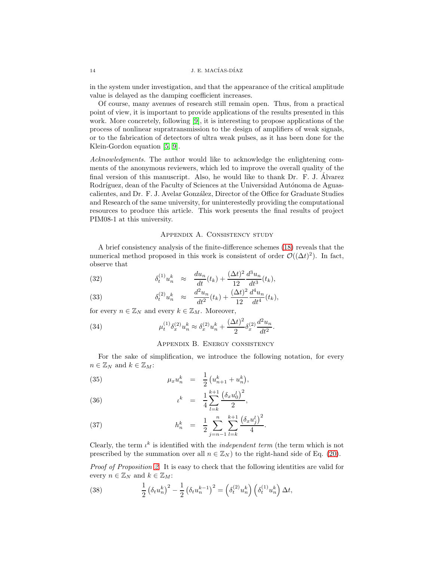in the system under investigation, and that the appearance of the critical amplitude value is delayed as the damping coefficient increases.

Of course, many avenues of research still remain open. Thus, from a practical point of view, it is important to provide applications of the results presented in this work. More concretely, following [\[9\]](#page-14-8), it is interesting to propose applications of the process of nonlinear supratransmission to the design of amplifiers of weak signals, or to the fabrication of detectors of ultra weak pulses, as it has been done for the Klein-Gordon equation [\[5,](#page-14-4) [9\]](#page-14-8).

Acknowledgments. The author would like to acknowledge the enlightening comments of the anonymous reviewers, which led to improve the overall quality of the final version of this manuscript. Also, he would like to thank Dr. F. J. Alvarez ´ Rodríguez, dean of the Faculty of Sciences at the Universidad Autónoma de Aguascalientes, and Dr. F. J. Avelar Gonz´alez, Director of the Office for Graduate Studies and Research of the same university, for uninterestedly providing the computational resources to produce this article. This work presents the final results of project PIM08-1 at this university.

# Appendix A. Consistency study

<span id="page-13-0"></span>A brief consistency analysis of the finite-difference schemes [\(18\)](#page-6-0) reveals that the numerical method proposed in this work is consistent of order  $\mathcal{O}((\Delta t)^2)$ . In fact, observe that

(32) 
$$
\delta_t^{(1)} u_n^k \approx \frac{du_n}{dt}(t_k) + \frac{(\Delta t)^2}{12} \frac{d^3 u_n}{dt^3}(t_k),
$$

(33) 
$$
\delta_t^{(2)} u_n^k \approx \frac{d^2 u_n}{dt^2} (t_k) + \frac{(\Delta t)^2}{12} \frac{d^4 u_n}{dt^4} (t_k),
$$

for every  $n \in \mathbb{Z}_N$  and every  $k \in \mathbb{Z}_M$ . Moreover,

<span id="page-13-1"></span>(34) 
$$
\mu_t^{(1)} \delta_x^{(2)} u_n^k \approx \delta_x^{(2)} u_n^k + \frac{(\Delta t)^2}{2} \delta_x^{(2)} \frac{d^2 u_n}{dt^2}.
$$

# Appendix B. Energy consistency

For the sake of simplification, we introduce the following notation, for every  $n \in \mathbb{Z}_N$  and  $k \in \mathbb{Z}_M$ :

(35) 
$$
\mu_x u_n^k = \frac{1}{2} (u_{n+1}^k + u_n^k),
$$

(36) 
$$
t^{k} = \frac{1}{4} \sum_{l=k}^{k+1} \frac{(\delta_{x} u_{0}^{l})^{2}}{2},
$$

(37) 
$$
h_n^k = \frac{1}{2} \sum_{j=n-1}^n \sum_{l=k}^{k+1} \frac{(\delta_x u_j^l)^2}{4}.
$$

Clearly, the term  $\iota^k$  is identified with the *independent term* (the term which is not prescribed by the summation over all  $n \in \mathbb{Z}_N$  to the right-hand side of Eq. [\(20\)](#page-6-2).

Proof of Proposition [2.](#page-7-1) It is easy to check that the following identities are valid for every  $n \in \mathbb{Z}_N$  and  $k \in \mathbb{Z}_M$ :

(38) 
$$
\frac{1}{2} \left( \delta_t u_n^k \right)^2 - \frac{1}{2} \left( \delta_t u_n^{k-1} \right)^2 = \left( \delta_t^{(2)} u_n^k \right) \left( \delta_t^{(1)} u_n^k \right) \Delta t,
$$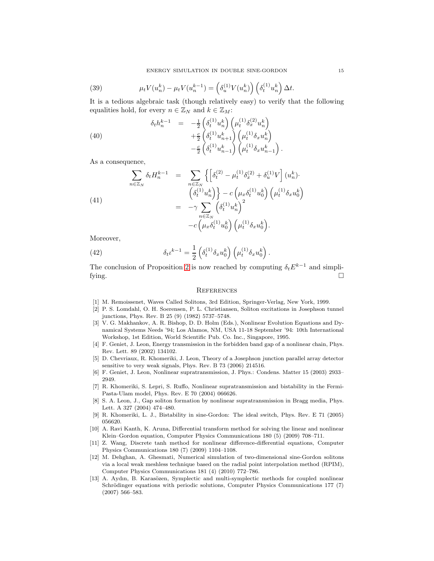(39) 
$$
\mu_t V(u_n^k) - \mu_t V(u_n^{k-1}) = \left(\delta_u^{(1)} V(u_n^k)\right) \left(\delta_t^{(1)} u_n^k\right) \Delta t.
$$

It is a tedious algebraic task (though relatively easy) to verify that the following equalities hold, for every  $n \in \mathbb{Z}_N$  and  $k \in \mathbb{Z}_M$ :

.

(40) 
$$
\delta_t h_n^{k-1} = -\frac{1}{2} \left( \delta_t^{(1)} u_n^k \right) \left( \mu_t^{(1)} \delta_x^{(2)} u_n^k \right) + \frac{c}{2} \left( \delta_t^{(1)} u_{n+1}^k \right) \left( \mu_t^{(1)} \delta_x u_n^k \right) - \frac{c}{2} \left( \delta_t^{(1)} u_{n-1}^k \right) \left( \mu_t^{(1)} \delta_x u_{n-1}^k \right)
$$

As a consequence,

(41)  

$$
\sum_{n \in \mathbb{Z}_N} \delta_t H_n^{k-1} = \sum_{\substack{n \in \mathbb{Z}_N \\ \left(\delta_t^{(1)} u_n^k\right) \end{cases}} \left\{ \begin{bmatrix} \delta_t^{(2)} - \mu_t^{(1)} \delta_x^{(2)} + \delta_u^{(1)} V \end{bmatrix} (u_n^k) \cdot \right. \\ = -\gamma \sum_{n \in \mathbb{Z}_N} \left( \delta_t^{(1)} u_n^k \right)^2 - c \left( \mu_x \delta_t^{(1)} u_0^k \right)^2 - c \left( \mu_x \delta_t^{(1)} u_0^k \right) \left( \mu_t^{(1)} \delta_x u_0^k \right).
$$

Moreover,

(42) 
$$
\delta_t t^{k-1} = \frac{1}{2} \left( \delta_t^{(1)} \delta_x u_0^k \right) \left( \mu_t^{(1)} \delta_x u_0^k \right).
$$

The conclusion of Proposition [2](#page-7-1) is now reached by computing  $\delta_t E^{k-1}$  and simplifying.  $\Box$ 

### **REFERENCES**

- <span id="page-14-1"></span><span id="page-14-0"></span>[1] M. Remoissenet, Waves Called Solitons, 3rd Edition, Springer-Verlag, New York, 1999.
- [2] P. S. Lomdahl, O. H. Soerensen, P. L. Christiansen, Soliton excitations in Josephson tunnel junctions, Phys. Rev. B 25 (9) (1982) 5737–5748.
- <span id="page-14-2"></span>[3] V. G. Makhankov, A. R. Bishop, D. D. Holm (Eds.), Nonlinear Evolution Equations and Dynamical Systems Needs '94; Los Alamos, NM, USA 11-18 September '94: 10th International Workshop, 1st Edition, World Scientific Pub. Co. Inc., Singapore, 1995.
- <span id="page-14-3"></span>[4] F. Geniet, J. Leon, Energy transmission in the forbidden band gap of a nonlinear chain, Phys. Rev. Lett. 89 (2002) 134102.
- <span id="page-14-4"></span>[5] D. Chevriaux, R. Khomeriki, J. Leon, Theory of a Josephson junction parallel array detector sensitive to very weak signals, Phys. Rev. B 73 (2006) 214516.
- <span id="page-14-6"></span><span id="page-14-5"></span>[6] F. Geniet, J. Leon, Nonlinear supratransmission, J. Phys.: Condens. Matter 15 (2003) 2933– 2949.
- [7] R. Khomeriki, S. Lepri, S. Ruffo, Nonlinear supratransmission and bistability in the Fermi-Pasta-Ulam model, Phys. Rev. E 70 (2004) 066626.
- <span id="page-14-7"></span>[8] S. A. Leon, J., Gap soliton formation by nonlinear supratransmission in Bragg media, Phys. Lett. A 327 (2004) 474–480.
- <span id="page-14-9"></span><span id="page-14-8"></span>[9] R. Khomeriki, L. J., Bistability in sine-Gordon: The ideal switch, Phys. Rev. E 71 (2005) 056620.
- [10] A. Ravi Kanth, K. Aruna, Differential transform method for solving the linear and nonlinear Klein–Gordon equation, Computer Physics Communications 180 (5) (2009) 708–711.
- <span id="page-14-10"></span>[11] Z. Wang, Discrete tanh method for nonlinear difference-differential equations, Computer Physics Communications 180 (7) (2009) 1104–1108.
- <span id="page-14-11"></span>[12] M. Dehghan, A. Ghesmati, Numerical simulation of two-dimensional sine-Gordon solitons via a local weak meshless technique based on the radial point interpolation method (RPIM), Computer Physics Communications 181 (4) (2010) 772–786.
- <span id="page-14-12"></span>[13] A. Aydın, B. Karasözen, Symplectic and multi-symplectic methods for coupled nonlinear Schrödinger equations with periodic solutions, Computer Physics Communications 177 (7) (2007) 566–583.